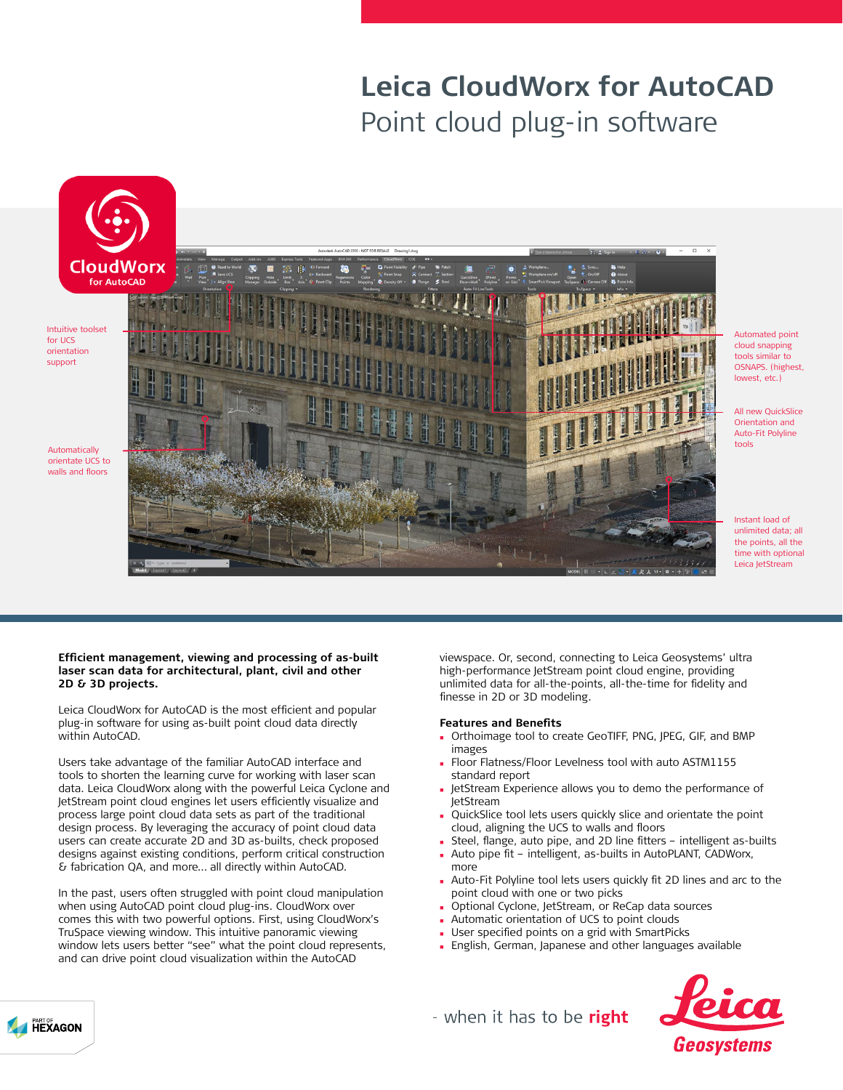# **Leica CloudWorx for AutoCAD** Point cloud plug-in software



Intuitive toolset for UCS orientation support

Automatically orientate UCS to walls and floors



Automated point cloud snapping tools similar to OSNAPS. (highest, lowest, etc.)

All new QuickSlice Orientation and Auto-Fit Polyline tools

Instant load of unlimited data; all the points, all the time with optional Leica JetStream

#### **Efficient management, viewing and processing of as-built laser scan data for architectural, plant, civil and other 2D & 3D projects.**

Leica CloudWorx for AutoCAD is the most efficient and popular plug-in software for using as-built point cloud data directly within AutoCAD.

Users take advantage of the familiar AutoCAD interface and tools to shorten the learning curve for working with laser scan data. Leica CloudWorx along with the powerful Leica Cyclone and JetStream point cloud engines let users efficiently visualize and process large point cloud data sets as part of the traditional design process. By leveraging the accuracy of point cloud data users can create accurate 2D and 3D as-builts, check proposed designs against existing conditions, perform critical construction & fabrication QA, and more… all directly within AutoCAD.

In the past, users often struggled with point cloud manipulation when using AutoCAD point cloud plug-ins. CloudWorx over comes this with two powerful options. First, using CloudWorx's TruSpace viewing window. This intuitive panoramic viewing window lets users better "see" what the point cloud represents, and can drive point cloud visualization within the AutoCAD

viewspace. Or, second, connecting to Leica Geosystems' ultra high-performance JetStream point cloud engine, providing unlimited data for all-the-points, all-the-time for fidelity and finesse in 2D or 3D modeling.

#### **Features and Benefits**

- <sup>n</sup> Orthoimage tool to create GeoTIFF, PNG, JPEG, GIF, and BMP images
- <sup>n</sup> Floor Flatness/Floor Levelness tool with auto ASTM1155 standard report
- <sup>n</sup> JetStream Experience allows you to demo the performance of JetStream
- **QuickSlice tool lets users quickly slice and orientate the point** cloud, aligning the UCS to walls and floors
- Steel, flange, auto pipe, and 2D line fitters intelligent as-builts
- Auto pipe fit intelligent, as-builts in AutoPLANT, CADWorx, more
- Auto-Fit Polyline tool lets users quickly fit 2D lines and arc to the point cloud with one or two picks
- **Department Cyclone, JetStream, or ReCap data sources**
- **Automatic orientation of UCS to point clouds**
- User specified points on a grid with SmartPicks
- <sup>n</sup> English, German, Japanese and other languages available



- when it has to be right